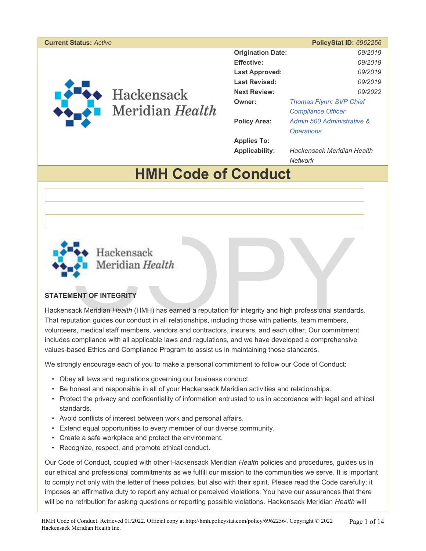#### **Current Status:** *Active* **PolicyStat ID:** *6962256*



Hackensack Meridian Health

| <b>Origination Date:</b> | 09/2019                    |  |
|--------------------------|----------------------------|--|
| <b>Effective:</b>        | 09/2019                    |  |
| <b>Last Approved:</b>    | 09/2019                    |  |
| <b>Last Revised:</b>     | 09/2019                    |  |
| <b>Next Review:</b>      | 09/2022                    |  |
| Owner:                   | Thomas Flynn: SVP Chief    |  |
|                          | <b>Compliance Officer</b>  |  |
| <b>Policy Area:</b>      | Admin 500 Administrative & |  |
|                          | <i><b>Operations</b></i>   |  |
| <b>Applies To:</b>       |                            |  |
| Applicability:           | Hackensack Meridian Health |  |

*Network* 

# **HMH Code of Conduct**



# **STATEMENT OF INTEGRITY**

Meridian Health<br>
MENT OF INTEGRITY<br>
Sack Meridian Health (HMH) has earned a reputation for integrity and high professional standar<br>
butation guides our conduct in all relationships, including those with patients, team memb Hackensack Meridian *Health* (HMH) has earned a reputation for integrity and high professional standards. That reputation guides our conduct in all relationships, including those with patients, team members, volunteers, medical staff members, vendors and contractors, insurers, and each other. Our commitment includes compliance with all applicable laws and regulations, and we have developed a comprehensive values-based Ethics and Compliance Program to assist us in maintaining those standards.

We strongly encourage each of you to make a personal commitment to follow our Code of Conduct:

- Obey all laws and regulations governing our business conduct.
- Be honest and responsible in all of your Hackensack Meridian activities and relationships.
- Protect the privacy and confidentiality of information entrusted to us in accordance with legal and ethical standards.
- Avoid conflicts of interest between work and personal affairs.
- Extend equal opportunities to every member of our diverse community.
- Create a safe workplace and protect the environment.
- Recognize, respect, and promote ethical conduct.

Our Code of Conduct, coupled with other Hackensack Meridian *Health* policies and procedures, guides us in our ethical and professional commitments as we fulfill our mission to the communities we serve. It is important to comply not only with the letter of these policies, but also with their spirit. Please read the Code carefully; it imposes an affirmative duty to report any actual or perceived violations. You have our assurances that there will be no retribution for asking questions or reporting possible violations. Hackensack Meridian *Health* will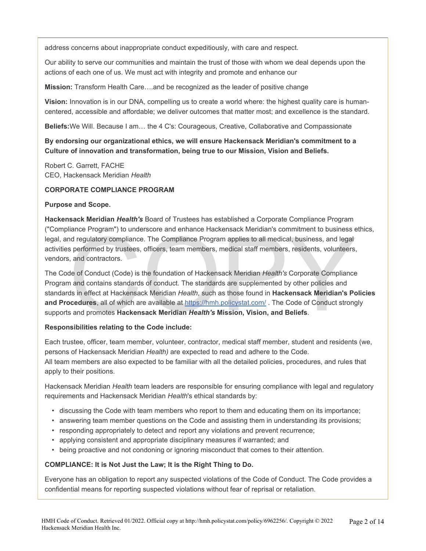address concerns about inappropriate conduct expeditiously, with care and respect.

Our ability to serve our communities and maintain the trust of those with whom we deal depends upon the actions of each one of us. We must act with integrity and promote and enhance our

**Mission:** Transform Health Care….and be recognized as the leader of positive change

**Vision:** Innovation is in our DNA, compelling us to create a world where: the highest quality care is humancentered, accessible and affordable; we deliver outcomes that matter most; and excellence is the standard.

**Beliefs:**We Will. Because I am… the 4 C's: Courageous, Creative, Collaborative and Compassionate

# **By endorsing our organizational ethics, we will ensure Hackensack Meridian's commitment to a Culture of innovation and transformation, being true to our Mission, Vision and Beliefs.**

Robert C. Garrett, FACHE CEO, Hackensack Meridian *Health* 

#### **CORPORATE COMPLIANCE PROGRAM**

#### **Purpose and Scope.**

**Hackensack Meridian** *Health's* Board of Trustees has established a Corporate Compliance Program ("Compliance Program") to underscore and enhance Hackensack Meridian's commitment to business ethics, legal, and regulatory compliance. The Compliance Program applies to all medical, business, and legal activities performed by trustees, officers, team members, medical staff members, residents, volunteers, vendors, and contractors.

nance Program") to underscore and ennance Hackensack Meridian's commitment to business and regulatory compliance. The Compliance Program applies to all medical, business, and legal<br>s performed by trustees, officers, team m The Code of Conduct (Code) is the foundation of Hackensack Meridian *Health's* Corporate Compliance Program and contains standards of conduct. The standards are supplemented by other policies and standards in effect at Hackensack Meridian *Health*, such as those found in **Hackensack Meridian's Policies and Procedures**, all of which are available at https://hmh.policystat.com/ . The Code of Conduct strongly supports and promotes **Hackensack Meridian** *Health's* **Mission, Vision, and Beliefs**.

#### **Responsibilities relating to the Code include:**

Each trustee, officer, team member, volunteer, contractor, medical staff member, student and residents (we, persons of Hackensack Meridian *Health)* are expected to read and adhere to the Code. All team members are also expected to be familiar with all the detailed policies, procedures, and rules that apply to their positions.

Hackensack Meridian *Health* team leaders are responsible for ensuring compliance with legal and regulatory requirements and Hackensack Meridian *Health*'s ethical standards by:

- discussing the Code with team members who report to them and educating them on its importance;
- answering team member questions on the Code and assisting them in understanding its provisions;
- responding appropriately to detect and report any violations and prevent recurrence;
- applying consistent and appropriate disciplinary measures if warranted; and
- being proactive and not condoning or ignoring misconduct that comes to their attention.

#### **COMPLIANCE: It is Not Just the Law; It is the Right Thing to Do.**

Everyone has an obligation to report any suspected violations of the Code of Conduct. The Code provides a confidential means for reporting suspected violations without fear of reprisal or retaliation.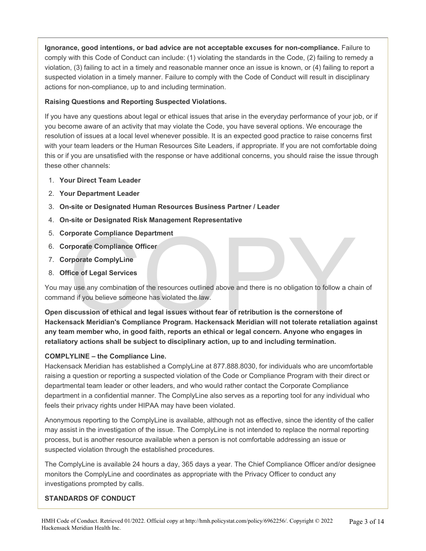**Ignorance, good intentions, or bad advice are not acceptable excuses for non-compliance.** Failure to comply with this Code of Conduct can include: (1) violating the standards in the Code, (2) failing to remedy a violation, (3) failing to act in a timely and reasonable manner once an issue is known, or (4) failing to report a suspected violation in a timely manner. Failure to comply with the Code of Conduct will result in disciplinary actions for non-compliance, up to and including termination.

# **Raising Questions and Reporting Suspected Violations.**

If you have any questions about legal or ethical issues that arise in the everyday performance of your job, or if you become aware of an activity that may violate the Code, you have several options. We encourage the resolution of issues at a local level whenever possible. It is an expected good practice to raise concerns first with your team leaders or the Human Resources Site Leaders, if appropriate. If you are not comfortable doing this or if you are unsatisfied with the response or have additional concerns, you should raise the issue through these other channels:

- 1. **Your Direct Team Leader**
- 2. **Your Department Leader**
- 3. **On-site or Designated Human Resources Business Partner / Leader**
- 4. **On-site or Designated Risk Management Representative**
- 5. **Corporate Compliance Department**
- 6. **Corporate Compliance Officer**
- 7. **Corporate ComplyLine**
- 8. **Office of Legal Services**

You may use any combination of the resources outlined above and there is no obligation to follow a chain of command if you believe someone has violated the law.

rporate Compliance Department<br>
rporate Compliance Officer<br>
Frorate ComplyLine<br>
Fice of Legal Services<br>
y use any combination of the resources outlined above and there is no obligation to follow a cha<br>
is figures to the som **Open discussion of ethical and legal issues without fear of retribution is the cornerstone of Hackensack Meridian's Compliance Program. Hackensack Meridian will not tolerate retaliation against any team member who, in good faith, reports an ethical or legal concern. Anyone who engages in retaliatory actions shall be subject to disciplinary action, up to and including termination.** 

# **COMPLYLINE – the Compliance Line.**

Hackensack Meridian has established a ComplyLine at 877.888.8030, for individuals who are uncomfortable raising a question or reporting a suspected violation of the Code or Compliance Program with their direct or departmental team leader or other leaders, and who would rather contact the Corporate Compliance department in a confidential manner. The ComplyLine also serves as a reporting tool for any individual who feels their privacy rights under HIPAA may have been violated.

Anonymous reporting to the ComplyLine is available, although not as effective, since the identity of the caller may assist in the investigation of the issue. The ComplyLine is not intended to replace the normal reporting process, but is another resource available when a person is not comfortable addressing an issue or suspected violation through the established procedures.

The ComplyLine is available 24 hours a day, 365 days a year. The Chief Compliance Officer and/or designee monitors the ComplyLine and coordinates as appropriate with the Privacy Officer to conduct any investigations prompted by calls.

#### **STANDARDS OF CONDUCT**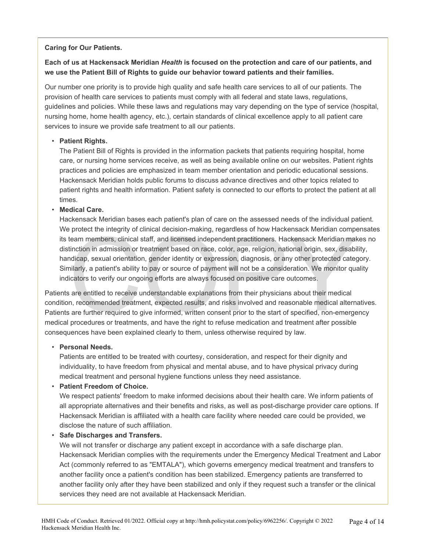#### **Caring for Our Patients.**

# **Each of us at Hackensack Meridian** *Health* **is focused on the protection and care of our patients, and we use the Patient Bill of Rights to guide our behavior toward patients and their families.**

Our number one priority is to provide high quality and safe health care services to all of our patients. The provision of health care services to patients must comply with all federal and state laws, regulations, guidelines and policies. While these laws and regulations may vary depending on the type of service (hospital, nursing home, home health agency, etc.), certain standards of clinical excellence apply to all patient care services to insure we provide safe treatment to all our patients.

# • **Patient Rights.**

The Patient Bill of Rights is provided in the information packets that patients requiring hospital, home care, or nursing home services receive, as well as being available online on our websites. Patient rights practices and policies are emphasized in team member orientation and periodic educational sessions. Hackensack Meridian holds public forums to discuss advance directives and other topics related to patient rights and health information. Patient safety is connected to our efforts to protect the patient at all times.

# • **Medical Care.**

protect the integrity of clinical decision-making, regardless of now Hackensack Meridian completeam members, clinical staff, and licensed independent practitioners. Hackensack Meridian maltinction in admission or treatment Hackensack Meridian bases each patient's plan of care on the assessed needs of the individual patient. We protect the integrity of clinical decision-making, regardless of how Hackensack Meridian compensates its team members, clinical staff, and licensed independent practitioners. Hackensack Meridian makes no distinction in admission or treatment based on race, color, age, religion, national origin, sex, disability, handicap, sexual orientation, gender identity or expression, diagnosis, or any other protected category. Similarly, a patient's ability to pay or source of payment will not be a consideration. We monitor quality indicators to verify our ongoing efforts are always focused on positive care outcomes.

Patients are entitled to receive understandable explanations from their physicians about their medical condition, recommended treatment, expected results, and risks involved and reasonable medical alternatives. Patients are further required to give informed, written consent prior to the start of specified, non-emergency medical procedures or treatments, and have the right to refuse medication and treatment after possible consequences have been explained clearly to them, unless otherwise required by law.

#### • **Personal Needs.**

Patients are entitled to be treated with courtesy, consideration, and respect for their dignity and individuality, to have freedom from physical and mental abuse, and to have physical privacy during medical treatment and personal hygiene functions unless they need assistance.

# • **Patient Freedom of Choice.**

We respect patients' freedom to make informed decisions about their health care. We inform patients of all appropriate alternatives and their benefits and risks, as well as post-discharge provider care options. If Hackensack Meridian is affiliated with a health care facility where needed care could be provided, we disclose the nature of such affiliation.

#### • **Safe Discharges and Transfers.**

We will not transfer or discharge any patient except in accordance with a safe discharge plan. Hackensack Meridian complies with the requirements under the Emergency Medical Treatment and Labor Act (commonly referred to as "EMTALA"), which governs emergency medical treatment and transfers to another facility once a patient's condition has been stabilized. Emergency patients are transferred to another facility only after they have been stabilized and only if they request such a transfer or the clinical services they need are not available at Hackensack Meridian.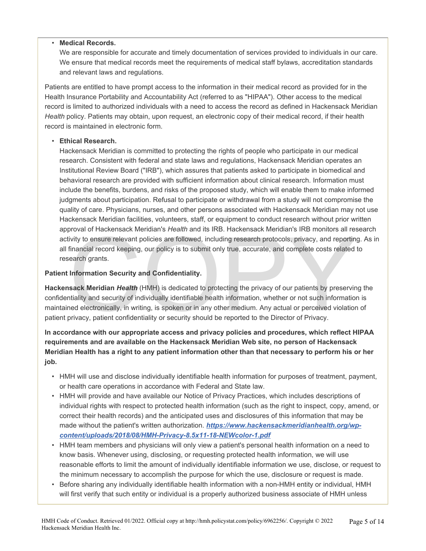#### • **Medical Records.**

We are responsible for accurate and timely documentation of services provided to individuals in our care. We ensure that medical records meet the requirements of medical staff bylaws, accreditation standards and relevant laws and regulations.

Patients are entitled to have prompt access to the information in their medical record as provided for in the Health Insurance Portability and Accountability Act (referred to as "HIPAA"). Other access to the medical record is limited to authorized individuals with a need to access the record as defined in Hackensack Meridian *Health* policy. Patients may obtain, upon request, an electronic copy of their medical record, if their health record is maintained in electronic form.

#### • **Ethical Research.**

Hackensack Meridian is committed to protecting the rights of people who participate in our medical research. Consistent with federal and state laws and regulations, Hackensack Meridian operates an Institutional Review Board ("IRB"), which assures that patients asked to participate in biomedical and behavioral research are provided with sufficient information about clinical research. Information must include the benefits, burdens, and risks of the proposed study, which will enable them to make informed judgments about participation. Refusal to participate or withdrawal from a study will not compromise the quality of care. Physicians, nurses, and other persons associated with Hackensack Meridian may not use Hackensack Meridian facilities, volunteers, staff, or equipment to conduct research without prior written approval of Hackensack Meridian's *Health* and its IRB. Hackensack Meridian's IRB monitors all research activity to ensure relevant policies are followed, including research protocols, privacy, and reporting. As in all financial record keeping, our policy is to submit only true, accurate, and complete costs related to research grants.

#### **Patient Information Security and Confidentiality.**

browal or Hackensack Meridian's *Health* and Its IRB. Hackensack Meridian's IRB monitors all resivity to ensure relevant policies are followed, including research protocols, privacy, and reportin financial record keeping, **Hackensack Meridian** *Health* (HMH) is dedicated to protecting the privacy of our patients by preserving the confidentiality and security of individually identifiable health information, whether or not such information is maintained electronically, in writing, is spoken or in any other medium. Any actual or perceived violation of patient privacy, patient confidentiality or security should be reported to the Director of Privacy.

**In accordance with our appropriate access and privacy policies and procedures, which reflect HIPAA requirements and are available on the Hackensack Meridian Web site, no person of Hackensack Meridian Health has a right to any patient information other than that necessary to perform his or her job.** 

- HMH will use and disclose individually identifiable health information for purposes of treatment, payment, or health care operations in accordance with Federal and State law.
- HMH will provide and have available our Notice of Privacy Practices, which includes descriptions of individual rights with respect to protected health information (such as the right to inspect, copy, amend, or correct their health records) and the anticipated uses and disclosures of this information that may be made without the patient's written authorization. *https://www.hackensackmeridianhealth.org/wpcontent/uploads/2018/08/HMH-Privacy-8.5x11-18-NEWcolor-1.pdf*
- HMH team members and physicians will only view a patient's personal health information on a need to know basis. Whenever using, disclosing, or requesting protected health information, we will use reasonable efforts to limit the amount of individually identifiable information we use, disclose, or request to the minimum necessary to accomplish the purpose for which the use, disclosure or request is made.
- Before sharing any individually identifiable health information with a non-HMH entity or individual, HMH will first verify that such entity or individual is a properly authorized business associate of HMH unless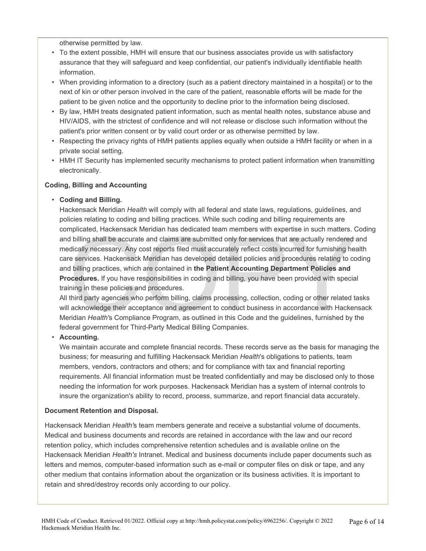otherwise permitted by law.

- To the extent possible, HMH will ensure that our business associates provide us with satisfactory assurance that they will safeguard and keep confidential, our patient's individually identifiable health information.
- When providing information to a directory (such as a patient directory maintained in a hospital) or to the next of kin or other person involved in the care of the patient, reasonable efforts will be made for the patient to be given notice and the opportunity to decline prior to the information being disclosed.
- By law, HMH treats designated patient information, such as mental health notes, substance abuse and HIV/AIDS, with the strictest of confidence and will not release or disclose such information without the patient's prior written consent or by valid court order or as otherwise permitted by law.
- Respecting the privacy rights of HMH patients applies equally when outside a HMH facility or when in a private social setting.
- HMH IT Security has implemented security mechanisms to protect patient information when transmitting electronically.

# **Coding, Billing and Accounting**

# • **Coding and Billing.**

mplicated, Hackensack Meridian has dedicated team members with expertise in such matters. Consider the silling shall be accurate and claims are submitted only for services that are actually rendered adically necessary. Any Hackensack Meridian *Health* will comply with all federal and state laws, regulations, guidelines, and policies relating to coding and billing practices. While such coding and billing requirements are complicated, Hackensack Meridian has dedicated team members with expertise in such matters. Coding and billing shall be accurate and claims are submitted only for services that are actually rendered and medically necessary. Any cost reports filed must accurately reflect costs incurred for furnishing health care services. Hackensack Meridian has developed detailed policies and procedures relating to coding and billing practices, which are contained in **the Patient Accounting Department Policies and Procedures.** If you have responsibilities in coding and billing, you have been provided with special training in these policies and procedures.

All third party agencies who perform billing, claims processing, collection, coding or other related tasks will acknowledge their acceptance and agreement to conduct business in accordance with Hackensack Meridian *Health'*s Compliance Program, as outlined in this Code and the guidelines, furnished by the federal government for Third-Party Medical Billing Companies.

#### • **Accounting.**

We maintain accurate and complete financial records. These records serve as the basis for managing the business; for measuring and fulfilling Hackensack Meridian *Health*'s obligations to patients, team members, vendors, contractors and others; and for compliance with tax and financial reporting requirements. All financial information must be treated confidentially and may be disclosed only to those needing the information for work purposes. Hackensack Meridian has a system of internal controls to insure the organization's ability to record, process, summarize, and report financial data accurately.

#### **Document Retention and Disposal.**

Hackensack Meridian *Health'*s team members generate and receive a substantial volume of documents. Medical and business documents and records are retained in accordance with the law and our record retention policy, which includes comprehensive retention schedules and is available online on the Hackensack Meridian *Health's* Intranet. Medical and business documents include paper documents such as letters and memos, computer-based information such as e-mail or computer files on disk or tape, and any other medium that contains information about the organization or its business activities. It is important to retain and shred/destroy records only according to our policy.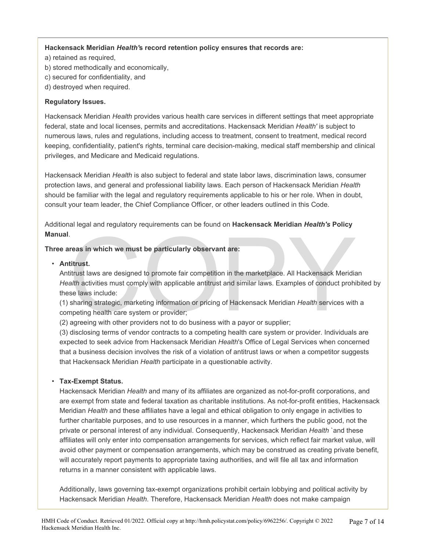#### **Hackensack Meridian** *Health'***s record retention policy ensures that records are:**

- a) retained as required,
- b) stored methodically and economically,
- c) secured for confidentiality, and
- d) destroyed when required.

#### **Regulatory Issues.**

Hackensack Meridian *Health* provides various health care services in different settings that meet appropriate federal, state and local licenses, permits and accreditations. Hackensack Meridian *Health'* is subject to numerous laws, rules and regulations, including access to treatment, consent to treatment, medical record keeping, confidentiality, patient's rights, terminal care decision-making, medical staff membership and clinical privileges, and Medicare and Medicaid regulations.

Hackensack Meridian *Health* is also subject to federal and state labor laws, discrimination laws, consumer protection laws, and general and professional liability laws. Each person of Hackensack Meridian *Health*  should be familiar with the legal and regulatory requirements applicable to his or her role. When in doubt, consult your team leader, the Chief Compliance Officer, or other leaders outlined in this Code.

Additional legal and regulatory requirements can be found on **Hackensack Meridian** *Health's* **Policy Manual**.

# **Three areas in which we must be particularly observant are:**

mual.<br> **Antitrust.**<br> **Antitrust laws are designed to promote fair competition in the marketplace. All Hackensack Meridia<br>** *Health* **activities must comply with applicable antitrust and similar laws. Examples of conduct proh** Antitrust laws are designed to promote fair competition in the marketplace. All Hackensack Meridian *Health* activities must comply with applicable antitrust and similar laws. Examples of conduct prohibited by these laws include:

(1) sharing strategic, marketing information or pricing of Hackensack Meridian *Health* services with a competing health care system or provider;

(2) agreeing with other providers not to do business with a payor or supplier;

(3) disclosing terms of vendor contracts to a competing health care system or provider. Individuals are expected to seek advice from Hackensack Meridian *Health*'s Office of Legal Services when concerned that a business decision involves the risk of a violation of antitrust laws or when a competitor suggests that Hackensack Meridian *Health* participate in a questionable activity.

#### • **Tax-Exempt Status.**

Hackensack Meridian *Health* and many of its affiliates are organized as not-for-profit corporations, and are exempt from state and federal taxation as charitable institutions. As not-for-profit entities, Hackensack Meridian *Health* and these affiliates have a legal and ethical obligation to only engage in activities to further charitable purposes, and to use resources in a manner, which furthers the public good, not the private or personal interest of any individual. Consequently, Hackensack Meridian *Health* `and these affiliates will only enter into compensation arrangements for services, which reflect fair market value, will avoid other payment or compensation arrangements, which may be construed as creating private benefit, will accurately report payments to appropriate taxing authorities, and will file all tax and information returns in a manner consistent with applicable laws.

Additionally, laws governing tax-exempt organizations prohibit certain lobbying and political activity by Hackensack Meridian *Health*. Therefore, Hackensack Meridian *Health* does not make campaign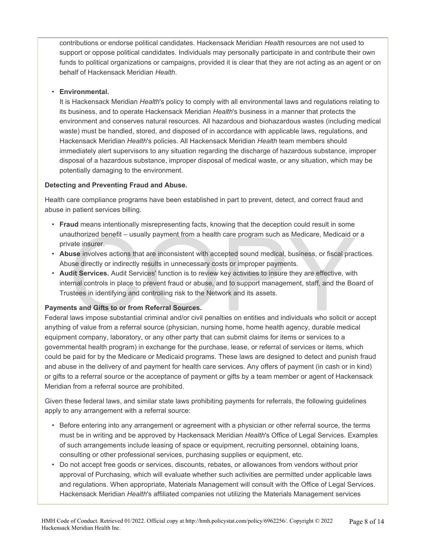contributions or endorse political candidates. Hackensack Meridian *Health* resources are not used to support or oppose political candidates. Individuals may personally participate in and contribute their own funds to political organizations or campaigns, provided it is clear that they are not acting as an agent or on behalf of Hackensack Meridian *Health*.

#### • **Environmental.**

It is Hackensack Meridian *Health*'s policy to comply with all environmental laws and regulations relating to its business, and to operate Hackensack Meridian *Health*'s business in a manner that protects the environment and conserves natural resources. All hazardous and biohazardous wastes (including medical waste) must be handled, stored, and disposed of in accordance with applicable laws, regulations, and Hackensack Meridian *Health*'s policies. All Hackensack Meridian *Health* team members should immediately alert supervisors to any situation regarding the discharge of hazardous substance, improper disposal of a hazardous substance, improper disposal of medical waste, or any situation, which may be potentially damaging to the environment.

# **Detecting and Preventing Fraud and Abuse.**

Health care compliance programs have been established in part to prevent, detect, and correct fraud and abuse in patient services billing.

- **Fraud** means intentionally misrepresenting facts, knowing that the deception could result in some unauthorized benefit – usually payment from a health care program such as Medicare, Medicaid or a private insurer.
- **Abuse** involves actions that are inconsistent with accepted sound medical, business, or fiscal practices. Abuse directly or indirectly results in unnecessary costs or improper payments.
- authorized benefit usually payment from a health care program such as Medicare, Medicaid of vate insurer.<br> **use** involves actions that are inconsistent with accepted sound medical, business, or fiscal practive involves a • **Audit Services.** Audit Services' function is to review key activities to insure they are effective, with internal controls in place to prevent fraud or abuse, and to support management, staff, and the Board of Trustees in identifying and controlling risk to the Network and its assets.

# **Payments and Gifts to or from Referral Sources.**

Federal laws impose substantial criminal and/or civil penalties on entities and individuals who solicit or accept anything of value from a referral source (physician, nursing home, home health agency, durable medical equipment company, laboratory, or any other party that can submit claims for items or services to a governmental health program) in exchange for the purchase, lease, or referral of services or items, which could be paid for by the Medicare or Medicaid programs. These laws are designed to detect and punish fraud and abuse in the delivery of and payment for health care services. Any offers of payment (in cash or in kind) or gifts to a referral source or the acceptance of payment or gifts by a team member or agent of Hackensack Meridian from a referral source are prohibited.

Given these federal laws, and similar state laws prohibiting payments for referrals, the following guidelines apply to any arrangement with a referral source:

- Before entering into any arrangement or agreement with a physician or other referral source, the terms must be in writing and be approved by Hackensack Meridian *Health*'s Office of Legal Services. Examples of such arrangements include leasing of space or equipment, recruiting personnel, obtaining loans, consulting or other professional services, purchasing supplies or equipment, etc.
- Do not accept free goods or services, discounts, rebates, or allowances from vendors without prior approval of Purchasing, which will evaluate whether such activities are permitted under applicable laws and regulations. When appropriate, Materials Management will consult with the Office of Legal Services. Hackensack Meridian *Health*'s affiliated companies not utilizing the Materials Management services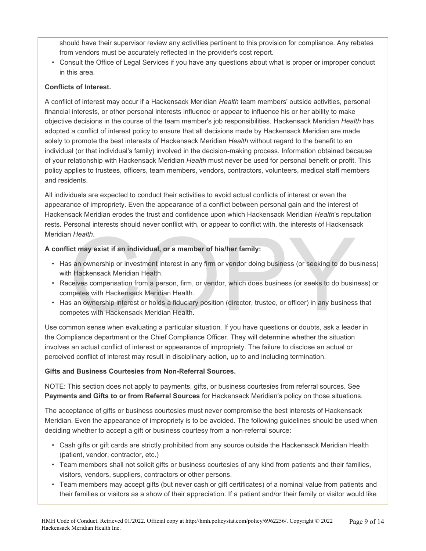should have their supervisor review any activities pertinent to this provision for compliance. Any rebates from vendors must be accurately reflected in the provider's cost report.

• Consult the Office of Legal Services if you have any questions about what is proper or improper conduct in this area.

#### **Conflicts of Interest.**

A conflict of interest may occur if a Hackensack Meridian *Health* team members' outside activities, personal financial interests, or other personal interests influence or appear to influence his or her ability to make objective decisions in the course of the team member's job responsibilities. Hackensack Meridian *Health* has adopted a conflict of interest policy to ensure that all decisions made by Hackensack Meridian are made solely to promote the best interests of Hackensack Meridian *Health* without regard to the benefit to an individual (or that individual's family) involved in the decision-making process. Information obtained because of your relationship with Hackensack Meridian *Health* must never be used for personal benefit or profit. This policy applies to trustees, officers, team members, vendors, contractors, volunteers, medical staff members and residents.

All individuals are expected to conduct their activities to avoid actual conflicts of interest or even the appearance of impropriety. Even the appearance of a conflict between personal gain and the interest of Hackensack Meridian erodes the trust and confidence upon which Hackensack Meridian *Health*'s reputation rests. Personal interests should never conflict with, or appear to conflict with, the interests of Hackensack Meridian *Health*.

# **A conflict may exist if an individual, or a member of his/her family:**

- Has an ownership or investment interest in any firm or vendor doing business (or seeking to do business) with Hackensack Meridian Health.
- n Health.<br>
Ict may exist if an individual, or a member of his/her family:<br>
See an ownership or investment interest in any firm or vendor doing business (or seeking to do bu<br>
In Hackensack Meridian Health.<br>
Individuals comp • Receives compensation from a person, firm, or vendor, which does business (or seeks to do business) or competes with Hackensack Meridian Health.
- Has an ownership interest or holds a fiduciary position (director, trustee, or officer) in any business that competes with Hackensack Meridian Health.

Use common sense when evaluating a particular situation. If you have questions or doubts, ask a leader in the Compliance department or the Chief Compliance Officer. They will determine whether the situation involves an actual conflict of interest or appearance of impropriety. The failure to disclose an actual or perceived conflict of interest may result in disciplinary action, up to and including termination.

#### **Gifts and Business Courtesies from Non-Referral Sources.**

NOTE: This section does not apply to payments, gifts, or business courtesies from referral sources. See **Payments and Gifts to or from Referral Sources** for Hackensack Meridian's policy on those situations.

The acceptance of gifts or business courtesies must never compromise the best interests of Hackensack Meridian. Even the appearance of impropriety is to be avoided. The following guidelines should be used when deciding whether to accept a gift or business courtesy from a non-referral source:

- Cash gifts or gift cards are strictly prohibited from any source outside the Hackensack Meridian Health (patient, vendor, contractor, etc.)
- Team members shall not solicit gifts or business courtesies of any kind from patients and their families, visitors, vendors, suppliers, contractors or other persons.
- Team members may accept gifts (but never cash or gift certificates) of a nominal value from patients and their families or visitors as a show of their appreciation. If a patient and/or their family or visitor would like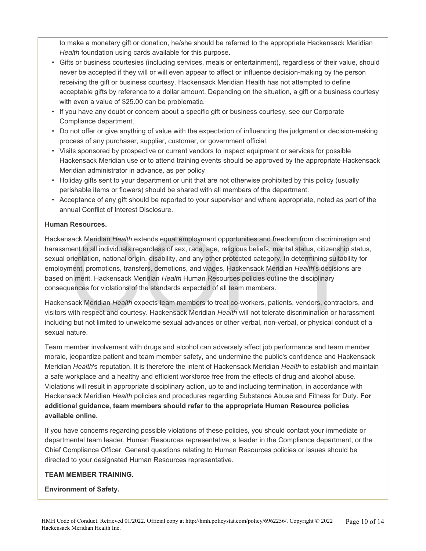to make a monetary gift or donation, he/she should be referred to the appropriate Hackensack Meridian *Health* foundation using cards available for this purpose.

- Gifts or business courtesies (including services, meals or entertainment), regardless of their value, should never be accepted if they will or will even appear to affect or influence decision-making by the person receiving the gift or business courtesy. Hackensack Meridian Health has not attempted to define acceptable gifts by reference to a dollar amount. Depending on the situation, a gift or a business courtesy with even a value of \$25.00 can be problematic.
- If you have any doubt or concern about a specific gift or business courtesy, see our Corporate Compliance department.
- Do not offer or give anything of value with the expectation of influencing the judgment or decision-making process of any purchaser, supplier, customer, or government official.
- Visits sponsored by prospective or current vendors to inspect equipment or services for possible Hackensack Meridian use or to attend training events should be approved by the appropriate Hackensack Meridian administrator in advance, as per policy
- Holiday gifts sent to your department or unit that are not otherwise prohibited by this policy (usually perishable items or flowers) should be shared with all members of the department.
- Acceptance of any gift should be reported to your supervisor and where appropriate, noted as part of the annual Conflict of Interest Disclosure.

# **Human Resources.**

sack Meridian *Health* extends equal employment opportunities and freedom from discrimination<br>nent to all individuals regardless of sex, race, age, religious beliefs, marital status, citizenship st<br>prientation, national or Hackensack Meridian *Health* extends equal employment opportunities and freedom from discrimination and harassment to all individuals regardless of sex, race, age, religious beliefs, marital status, citizenship status, sexual orientation, national origin, disability, and any other protected category. In determining suitability for employment, promotions, transfers, demotions, and wages, Hackensack Meridian *Health*'s decisions are based on merit. Hackensack Meridian *Health* Human Resources policies outline the disciplinary consequences for violations of the standards expected of all team members.

Hackensack Meridian *Health* expects team members to treat co-workers, patients, vendors, contractors, and visitors with respect and courtesy. Hackensack Meridian *Health* will not tolerate discrimination or harassment including but not limited to unwelcome sexual advances or other verbal, non-verbal, or physical conduct of a sexual nature.

Team member involvement with drugs and alcohol can adversely affect job performance and team member morale, jeopardize patient and team member safety, and undermine the public's confidence and Hackensack Meridian *Health*'s reputation. It is therefore the intent of Hackensack Meridian *Health* to establish and maintain a safe workplace and a healthy and efficient workforce free from the effects of drug and alcohol abuse. Violations will result in appropriate disciplinary action, up to and including termination, in accordance with Hackensack Meridian *Health* policies and procedures regarding Substance Abuse and Fitness for Duty. **For additional guidance, team members should refer to the appropriate Human Resource policies available online.** 

If you have concerns regarding possible violations of these policies, you should contact your immediate or departmental team leader, Human Resources representative, a leader in the Compliance department, or the Chief Compliance Officer. General questions relating to Human Resources policies or issues should be directed to your designated Human Resources representative.

#### **TEAM MEMBER TRAINING.**

#### **Environment of Safety.**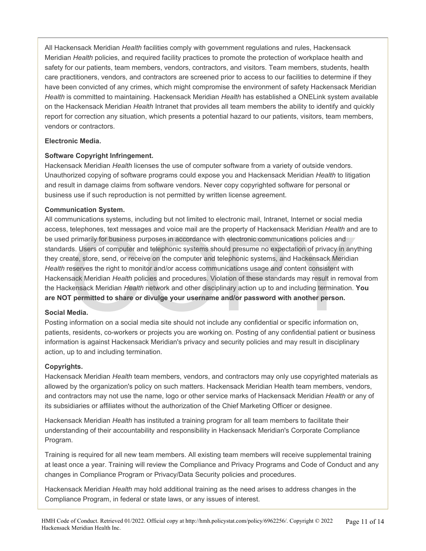All Hackensack Meridian *Health* facilities comply with government regulations and rules, Hackensack Meridian *Health* policies, and required facility practices to promote the protection of workplace health and safety for our patients, team members, vendors, contractors, and visitors. Team members, students, health care practitioners, vendors, and contractors are screened prior to access to our facilities to determine if they have been convicted of any crimes, which might compromise the environment of safety Hackensack Meridian *Health* is committed to maintaining. Hackensack Meridian *Health* has established a ONELink system available on the Hackensack Meridian *Health* Intranet that provides all team members the ability to identify and quickly report for correction any situation, which presents a potential hazard to our patients, visitors, team members, vendors or contractors.

#### **Electronic Media.**

#### **Software Copyright Infringement.**

Hackensack Meridian *Health* licenses the use of computer software from a variety of outside vendors. Unauthorized copying of software programs could expose you and Hackensack Meridian *Health* to litigation and result in damage claims from software vendors. Never copy copyrighted software for personal or business use if such reproduction is not permitted by written license agreement.

#### **Communication System.**

telephones, text messages and voice mail are the property of Hackensack Meridian *Health* and<br>primarily for business purposes in accordance with electronic communications policies and<br>ds. Users of computer and telephonic s All communications systems, including but not limited to electronic mail, Intranet, Internet or social media access, telephones, text messages and voice mail are the property of Hackensack Meridian *Health* and are to be used primarily for business purposes in accordance with electronic communications policies and standards. Users of computer and telephonic systems should presume no expectation of privacy in anything they create, store, send, or receive on the computer and telephonic systems, and Hackensack Meridian *Health* reserves the right to monitor and/or access communications usage and content consistent with Hackensack Meridian *Health* policies and procedures. Violation of these standards may result in removal from the Hackensack Meridian *Health* network and other disciplinary action up to and including termination. **You are NOT permitted to share or divulge your username and/or password with another person.** 

#### **Social Media.**

Posting information on a social media site should not include any confidential or specific information on, patients, residents, co-workers or projects you are working on. Posting of any confidential patient or business information is against Hackensack Meridian's privacy and security policies and may result in disciplinary action, up to and including termination.

#### **Copyrights.**

Hackensack Meridian *Health* team members, vendors, and contractors may only use copyrighted materials as allowed by the organization's policy on such matters. Hackensack Meridian Health team members, vendors, and contractors may not use the name, logo or other service marks of Hackensack Meridian *Health* or any of its subsidiaries or affiliates without the authorization of the Chief Marketing Officer or designee.

Hackensack Meridian *Health* has instituted a training program for all team members to facilitate their understanding of their accountability and responsibility in Hackensack Meridian's Corporate Compliance Program.

Training is required for all new team members. All existing team members will receive supplemental training at least once a year. Training will review the Compliance and Privacy Programs and Code of Conduct and any changes in Compliance Program or Privacy/Data Security policies and procedures.

Hackensack Meridian *Health* may hold additional training as the need arises to address changes in the Compliance Program, in federal or state laws, or any issues of interest.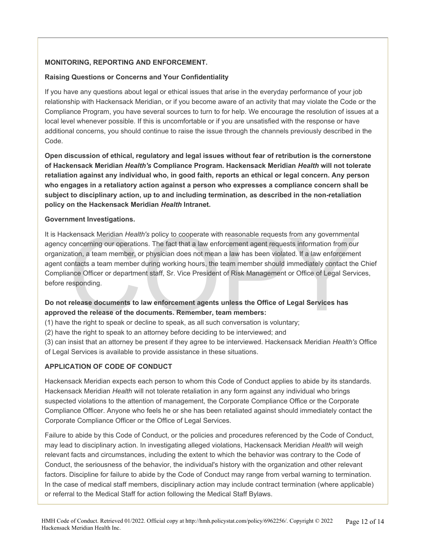#### **MONITORING, REPORTING AND ENFORCEMENT.**

#### **Raising Questions or Concerns and Your Confidentiality**

If you have any questions about legal or ethical issues that arise in the everyday performance of your job relationship with Hackensack Meridian, or if you become aware of an activity that may violate the Code or the Compliance Program, you have several sources to turn to for help. We encourage the resolution of issues at a local level whenever possible. If this is uncomfortable or if you are unsatisfied with the response or have additional concerns, you should continue to raise the issue through the channels previously described in the Code.

**Open discussion of ethical, regulatory and legal issues without fear of retribution is the cornerstone of Hackensack Meridian** *Health's* **Compliance Program. Hackensack Meridian** *Health* **will not tolerate retaliation against any individual who, in good faith, reports an ethical or legal concern. Any person who engages in a retaliatory action against a person who expresses a compliance concern shall be subject to disciplinary action, up to and including termination, as described in the non-retaliation policy on the Hackensack Meridian** *Health* **Intranet.** 

#### **Government Investigations.**

kensack Meridian *Health's* policy to cooperate with reasonable requests from any government<br>concerning our operations. The fact that a law enforcement agent requests information from ou<br>ation, a team member, or physician It is Hackensack Meridian *Health's* policy to cooperate with reasonable requests from any governmental agency concerning our operations. The fact that a law enforcement agent requests information from our organization, a team member, or physician does not mean a law has been violated. If a law enforcement agent contacts a team member during working hours, the team member should immediately contact the Chief Compliance Officer or department staff, Sr. Vice President of Risk Management or Office of Legal Services, before responding.

# **Do not release documents to law enforcement agents unless the Office of Legal Services has approved the release of the documents. Remember, team members:**

- (1) have the right to speak or decline to speak, as all such conversation is voluntary;
- (2) have the right to speak to an attorney before deciding to be interviewed; and
- (3) can insist that an attorney be present if they agree to be interviewed. Hackensack Meridian *Health's* Office of Legal Services is available to provide assistance in these situations.

#### **APPLICATION OF CODE OF CONDUCT**

Hackensack Meridian expects each person to whom this Code of Conduct applies to abide by its standards. Hackensack Meridian *Health* will not tolerate retaliation in any form against any individual who brings suspected violations to the attention of management, the Corporate Compliance Office or the Corporate Compliance Officer. Anyone who feels he or she has been retaliated against should immediately contact the Corporate Compliance Officer or the Office of Legal Services.

Failure to abide by this Code of Conduct, or the policies and procedures referenced by the Code of Conduct, may lead to disciplinary action. In investigating alleged violations, Hackensack Meridian *Health* will weigh relevant facts and circumstances, including the extent to which the behavior was contrary to the Code of Conduct, the seriousness of the behavior, the individual's history with the organization and other relevant factors. Discipline for failure to abide by the Code of Conduct may range from verbal warning to termination. In the case of medical staff members, disciplinary action may include contract termination (where applicable) or referral to the Medical Staff for action following the Medical Staff Bylaws.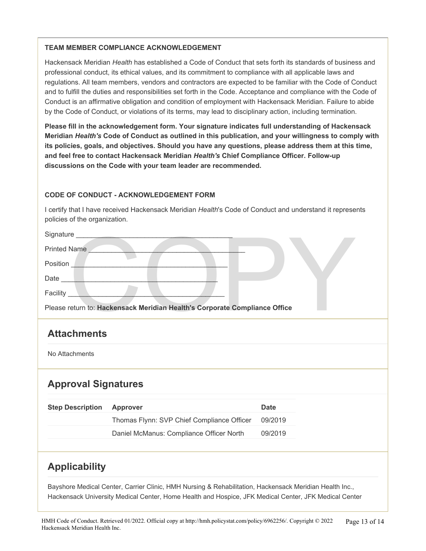#### **TEAM MEMBER COMPLIANCE ACKNOWLEDGEMENT**

Hackensack Meridian *Health* has established a Code of Conduct that sets forth its standards of business and professional conduct, its ethical values, and its commitment to compliance with all applicable laws and regulations. All team members, vendors and contractors are expected to be familiar with the Code of Conduct and to fulfill the duties and responsibilities set forth in the Code. Acceptance and compliance with the Code of Conduct is an affirmative obligation and condition of employment with Hackensack Meridian. Failure to abide by the Code of Conduct, or violations of its terms, may lead to disciplinary action, including termination.

**Please fill in the acknowledgement form. Your signature indicates full understanding of Hackensack Meridian** *Health's* **Code of Conduct as outlined in this publication, and your willingness to comply with its policies, goals, and objectives. Should you have any questions, please address them at this time, and feel free to contact Hackensack Meridian** *Health's* **Chief Compliance Officer. Follow-up discussions on the Code with your team leader are recommended.** 

# **CODE OF CONDUCT - ACKNOWLEDGEMENT FORM**

I certify that I have received Hackensack Meridian *Health*'s Code of Conduct and understand it represents policies of the organization.

| Signature _____                                                            |                                            |             |  |  |
|----------------------------------------------------------------------------|--------------------------------------------|-------------|--|--|
| <b>Printed Name</b>                                                        |                                            |             |  |  |
| Position                                                                   |                                            |             |  |  |
| Date _____                                                                 |                                            |             |  |  |
| Facility __                                                                |                                            |             |  |  |
| Please return to: Hackensack Meridian Health's Corporate Compliance Office |                                            |             |  |  |
| <b>Attachments</b>                                                         |                                            |             |  |  |
| No Attachments                                                             |                                            |             |  |  |
| <b>Approval Signatures</b>                                                 |                                            |             |  |  |
| <b>Step Description</b>                                                    | <b>Approver</b>                            | <b>Date</b> |  |  |
|                                                                            | Thomas Flynn: SVP Chief Compliance Officer | 09/2019     |  |  |
|                                                                            | Daniel McManus: Compliance Officer North   | 09/2019     |  |  |
|                                                                            |                                            |             |  |  |
| <b>Applicability</b>                                                       |                                            |             |  |  |

Bayshore Medical Center, Carrier Clinic, HMH Nursing & Rehabilitation, Hackensack Meridian Health Inc., Hackensack University Medical Center, Home Health and Hospice, JFK Medical Center, JFK Medical Center